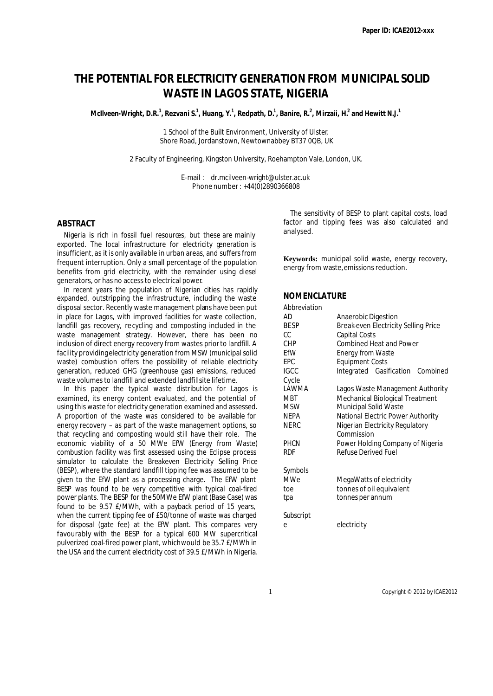# **THE POTENTIAL FOR ELECTRICITY GENERATION FROM MUNICIPAL SOLID WASTE IN LAGOS STATE, NIGERIA**

 ${\sf M}$ Cliveen-Wright, D.R. $^1$ , Rezvani S. $^1$ , Huang, Y. $^1$ , Redpath, D. $^1$ , Banire, R. $^2$ , Mirzaii, H. $^2$  and Hewitt N.J. $^1$ 

1 School of the Built Environment, University of Ulster, Shore Road, Jordanstown, Newtownabbey BT37 0QB, UK

2 Faculty of Engineering, Kingston University, Roehampton Vale, London, UK.

E-mail : dr.mcilveen-wright@ulster.ac.uk Phone number : +44(0)2890366808

# **ABSTRACT**

Nigeria is rich in fossil fuel resourœs, but these are mainly exported. The local infrastructure for electricity generation is insufficient, as it is only available in urban areas, and suffers from frequent interruption. Only a small percentage of the population benefits from grid electricity, with the remainder using diesel generators, or has no access to electrical power.

In recent years the population of Nigerian cities has rapidly expanded, outstripping the infrastructure, including the waste disposal sector. Recently waste management plans have been put in place for Lagos, with improved facilities for waste collection, landfill gas recovery, recycling and composting included in the waste management strategy. However, there has been no inclusion of direct energy recovery from wastes prior to landfill. A facility providing electricity generation from MSW (municipal solid waste) combustion offers the possibility of reliable electricity generation, reduced GHG (greenhouse gas) emissions, reduced waste volumes to landfill and extended landfill site lifetime.

In this paper the typical waste distribution for Lagos is examined, its energy content evaluated, and the potential of using this waste for electricity generation examined and assessed. A proportion of the waste was considered to be available for energy recovery – as part of the waste management options, so that recycling and composting would still have their role. The economic viability of a 50 MWe EfW (Energy from Waste) combustion facility was first assessed using the Eclipse process simulator to calculate the Breakeven Electricity Selling Price (BESP), where the standard landfill tipping fee was assumed to be given to the EfW plant as a processing charge. The EfW plant BESP was found to be very competitive with typical coal-fired power plants. The BESP for the 50MWe EfW plant (Base Case) was found to be 9.57 £/MWh, with a payback period of 15 years, when the current tipping fee of £50/tonne of waste was charged for disposal (gate fee) at the EfW plant. This compares very favourably with the BESP for a typical 600 MW supercritical pulverized coal-fired power plant, which would be 35.7 £/MWh in the USA and the current electricity cost of 39.5 £/MWh in Nigeria.

The sensitivity of BESP to plant capital costs, load factor and tipping fees was also calculated and analysed.

**Keywords:** municipal solid waste, energy recovery, energy from waste, emissions reduction.

# **NOMENCLATURE**

*Abbreviation*

| ADDI EVIATIONI |                                               |  |  |  |
|----------------|-----------------------------------------------|--|--|--|
| AD             | Anaerobic Digestion                           |  |  |  |
| <b>BESP</b>    | Break-even Electricity Selling Price          |  |  |  |
| CC.            | <b>Capital Costs</b>                          |  |  |  |
| CHP            | <b>Combined Heat and Power</b>                |  |  |  |
| FfW            | <b>Energy from Waste</b>                      |  |  |  |
| FPC            | <b>Equipment Costs</b>                        |  |  |  |
| <b>IGCC</b>    | Integrated Gasification Combined              |  |  |  |
| Cycle          |                                               |  |  |  |
| I AWMA         | Lagos Waste Management Authority              |  |  |  |
| <b>MBT</b>     | Mechanical Biological Treatment               |  |  |  |
| <b>MSW</b>     | Municipal Solid Waste                         |  |  |  |
| <b>NEPA</b>    | National Electric Power Authority             |  |  |  |
| <b>NERC</b>    | Nigerian Electricity Regulatory<br>Commission |  |  |  |
| <b>PHCN</b>    | Power Holding Company of Nigeria              |  |  |  |
| <b>RDF</b>     | Refuse Derived Fuel                           |  |  |  |
| Symbols        |                                               |  |  |  |
| MWe            | MegaWatts of electricity                      |  |  |  |
| toe            | tonnes of oil equivalent                      |  |  |  |
| tpa            | tonnes per annum                              |  |  |  |
| Subscript      |                                               |  |  |  |
| e              | electricity                                   |  |  |  |
|                |                                               |  |  |  |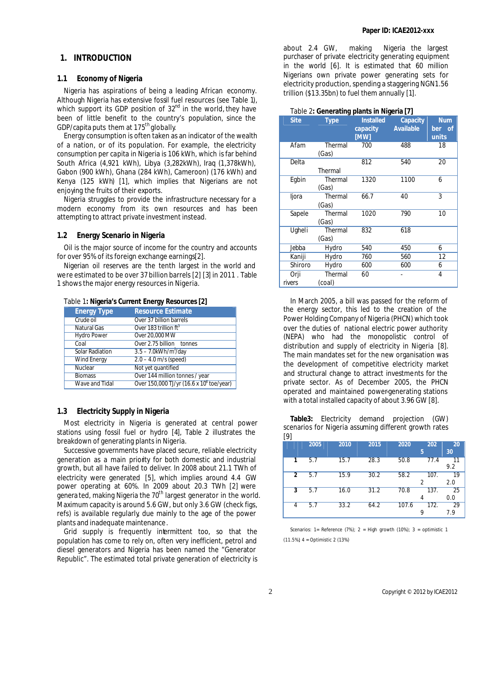# **1. INTRODUCTION**

## **1.1 Economy of Nigeria**

Nigeria has aspirations of being a leading African economy. Although Nigeria has extensive fossil fuel resources (see Table 1), which support its GDP position of  $32<sup>nd</sup>$  in the world, they have been of little benefit to the country's population, since the GDP/capita puts them at 175<sup>th</sup> globally.

Energy consumption is often taken as an indicator of the wealth of a nation, or of its population. For example, the electricity consumption per capita in Nigeria is 106 kWh, which is far behind South Africa (4,921 kWh), Libya (3,282kWh), Iraq (1,378kWh), Gabon (900 kWh), Ghana (284 kWh), Cameroon) (176 kWh) and Kenya (125 kWh) [1], which implies that Nigerians are not enjoying the fruits of their exports.

Nigeria struggles to provide the infrastructure necessary for a modern economy from its own resources and has been attempting to attract private investment instead.

#### **1.2 Energy Scenario in Nigeria**

Oil is the major source of income for the country and accounts for over 95% of its foreign exchange earnings[2].

Nigerian oil reserves are the tenth largest in the world and were estimated to be over 37 billion barrels [2] [3] in 2011 . Table 1 shows the major energy resources in Nigeria.

| <b>Energy Type</b>     | <b>Resource Estimate</b>                 |
|------------------------|------------------------------------------|
| Crude oil              | Over 37 billion barrels                  |
| <b>Natural Gas</b>     | Over 183 trillion ft <sup>3</sup>        |
| <b>Hydro Power</b>     | Over 20,000 MW                           |
| Coal                   | Over 2.75 billion tonnes                 |
| <b>Solar Radiation</b> | $3.5 - 7.0$ kWh/m <sup>2</sup> /day      |
| <b>Wind Energy</b>     | $2.0 - 4.0$ m/s (speed)                  |
| Nuclear                | Not yet quantified                       |
| <b>Biomass</b>         | Over 144 million tonnes / year           |
| Wave and Tidal         | Over 150,000 TJ/yr (16.6 x 10° toe/year) |

Table 1**: Nigeria's Current Energy Resources [2]**

# **1.3 Electricity Supply in Nigeria**

Most electricity in Nigeria is generated at central power stations using fossil fuel or hydro [4], Table 2 illustrates the breakdown of generating plants in Nigeria.

Successive governments have placed secure, reliable electricity generation as a main priority for both domestic and industrial growth, but all have failed to deliver. In 2008 about 21.1 TWh of electricity were generated [5], which implies around 4.4 GW power operating at 60%. In 2009 about 20.3 TWh [2] were genera ted, making Nigeria the 70<sup>th</sup> largest generator in the world. Maximum capacity is around 5.6 GW, but only 3.6 GW (check figs, refs) is available regularly, due mainly to the age of the power plants and inadequate maintenance.

Grid supply is frequently intermittent too, so that the population has come to rely on, often very inefficient, petrol and diesel generators and Nigeria has been named the "Generator Republic". The estimated total private generation of electricity is about 2.4 GW, making Nigeria the largest purchaser of private electricity generating equipment in the world [6]. It is estimated that 60 million Nigerians own private power generating sets for electricity production, spending a staggering NGN1.56 trillion (\$13.35bn) to fuel them annually [1].

#### Table 2**: Generating plants in Nigeria [7]**

| <b>Site</b> | <b>Type</b>      | <b>Installed</b><br>capacity | Capacity<br><b>Available</b> | <b>Num</b><br>ber of |
|-------------|------------------|------------------------------|------------------------------|----------------------|
|             |                  | <b>[MW]</b>                  |                              | units                |
| Afam        | Thermal<br>(Gas) | 700                          | 488                          | 18                   |
| Delta       |                  | 812                          | 540                          | 20                   |
|             | Thermal          |                              |                              |                      |
| Egbin       | Thermal          | 1320                         | 1100                         | 6                    |
|             | (Gas)            |                              |                              |                      |
| ljora       | Thermal          | 66.7                         | 40                           | 3                    |
|             | (Gas)            |                              |                              |                      |
| Sapele      | Thermal          | 1020                         | 790                          | 10                   |
|             | (Gas)            |                              |                              |                      |
| Ugheli      | Thermal          | 832                          | 618                          |                      |
|             | (Gas)            |                              |                              |                      |
| Jebba       | Hydro            | 540                          | 450                          | 6                    |
| Kaniji      | Hydro            | 760                          | 560                          | 12                   |
| Shiroro     | Hydro            | 600                          | 600                          | 6                    |
| Orji        | Thermal          | 60                           |                              | 4                    |
| rivers      | (coal)           |                              |                              |                      |

In March 2005, a bill was passed for the reform of the energy sector, this led to the creation of the Power Holding Company of Nigeria (PHCN) which took over the duties of national electric power authority (NEPA) who had the monopolistic control of distribution and supply of electricity in Nigeria [8]. The main mandates set for the new organisation was the development of competitive electricity market and structural change to attract investments for the private sector. As of December 2005, the PHCN operated and maintained power-generating stations with a total installed capacity of about 3.96 GW [8].

**Table3:** Electricity demand projection (GW) scenarios for Nigeria assuming different growth rates  $[0]$ 

|               | 2005 | 2010 | 2015 | 2020  | 202<br>5               | 20<br>30  |
|---------------|------|------|------|-------|------------------------|-----------|
| 1             | 5.7  | 15.7 | 28.3 | 50.8  | 77.4                   | 11<br>9.2 |
| $\mathfrak z$ | 5.7  | 15.9 | 30.2 | 58.2  | 107.<br>$\overline{2}$ | 19<br>2.0 |
| 3             | 5.7  | 16.0 | 31.2 | 70.8  | 137.<br>4              | 25<br>0.0 |
| 4             | 5.7  | 33.2 | 64.2 | 107.6 | 172.<br>9              | 29<br>7.9 |

Scenarios: 1= Reference  $(7\%)$ ; 2 = High growth  $(10\%)$ ; 3 = optimistic 1  $(11.5\%)$  4 = Optimistic 2 (13%)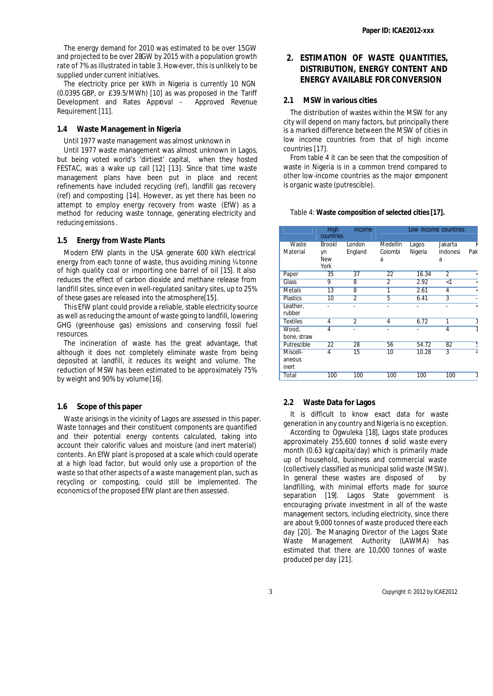The energy demand for 2010 was estimated to be over 15GW and projected to be over 28GW by 2015 with a population growth rate of 7% as illustrated in table 3. How-ever, this is unlikely to be supplied under current initiatives.

The electricity price per kWh in Nigeria is currently 10 NGN (0.0395 GBP, or £39.5/MWh) [10] as was proposed in the Tariff Development and Rates Approval - Approved Revenue Requirement [11].

#### **1.4 Waste Management in Nigeria**

Until 1977 waste management was almost unknown in

Until 1977 waste management was almost unknown in Lagos, but being voted world's 'dirtiest' capital, when they hosted FESTAC, was a wake up call [12] [13]. Since that time waste management plans have been put in place and recent refinements have included recycling (ref), landfill gas recovery (ref) and composting [14]. However, as yet there has been no attempt to employ energy recovery from waste (EfW) as a method for reducing waste tonnage, generating electricity and reducing emissions.

#### **1.5 Energy from Waste Plants**

Modern EfW plants in the USA generate 600 kWh electrical energy from each tonne of waste, thus avoiding mining ¼ tonne of high quality coal or importing one barrel of oil [15]. It also reduces the effect of carbon dioxide and methane release from landfill sites, since even in well-regulated sanitary sites, up to 25% of these gases are released into the atmosphere<sup>[15]</sup>.

This EfW plant could provide a reliable, stable electricity source as well as reducing the amount of waste going to landfill, lowering GHG (greenhouse gas) emissions and conserving fossil fuel resources.

The incineration of waste has the great advantage, that although it does not completely eliminate waste from being deposited at landfill, it reduces its weight and volume. The reduction of MSW has been estimated to be approximately 75% by weight and 90% by volume [16].

#### **1.6 Scope of this paper**

Waste arisings in the vicinity of Lagos are assessed in this paper. Waste tonnages and their constituent components are quantified and their potential energy contents calculated, taking into account their calorific values and moisture (and inert material) contents. An EfW plant is proposed at a scale which could operate at a high load factor, but would only use a proportion of the waste so that other aspects of a waste management plan, such as recycling or composting, could still be implemented. The economics of the proposed EfW plant are then assessed.

# **2. ESTIMATION OF WASTE QUANTITIES, DISTRIBUTION, ENERGY CONTENT AND ENERGY AVAILABLE FOR CONVERSION**

# **2.1 MSW in various cities**

The distribution of wastes within the MSW for any city will depend on many factors, but principally there is a marked difference between the MSW of cities in low income countries from that of high income countries [17].

From table 4 it can be seen that the composition of waste in Nigeria is in a common trend compared to other low-income countries as the major component is organic waste (putrescible).

#### Table 4: **Waste composition of selected cities [17].**

|                 | High<br>countries | income         |                |         | Low income countries |         |
|-----------------|-------------------|----------------|----------------|---------|----------------------|---------|
| Waste           | <b>Brookl</b>     | London         | Medellin       | Lagos   | Jakarta              |         |
| Material        | yn                | England        | Colombi        | Nigeria | Indonesi             | Pak     |
|                 | <b>New</b>        |                | a              |         | a                    |         |
|                 | York              |                |                |         |                      |         |
| Paper           | 35                | 37             | 22             | 16.34   | $\overline{2}$       | ć       |
| Glass           | 9                 | 8              | $\overline{2}$ | 2.92    | $\leq$ 1             | ≺       |
| Metals          | $\overline{13}$   | 8              | Ī              | 2.61    | 4                    | ≺       |
| <b>Plastics</b> | 10                | $\overline{2}$ | 5              | 6.41    | 3                    |         |
| Leather,        |                   |                |                |         |                      | $\prec$ |
| rubber          |                   |                |                |         |                      |         |
| <b>Textiles</b> | 4                 | $\overline{2}$ | 4              | 6.72    | ī                    |         |
| Wood,           | 4                 | ٠              | ۰              | ٠       | 4                    |         |
| bone, straw     |                   |                |                |         |                      |         |
| Putrescible     | 22                | 28             | 56             | 54.72   | 82                   | Ε       |
| Miscell-        | 4                 | 15             | 10             | 10.28   | $\overline{3}$       |         |
| aneous          |                   |                |                |         |                      |         |
| inert           |                   |                |                |         |                      |         |
| Total           | 100               | 100            | 100            | 100     | 100                  |         |

#### **2.2 Waste Data for Lagos**

It is difficult to know exact data for waste generation in any country and Nigeria is no exception.

According to Ogwuleka [18], Lagos state produces approximately 255,600 tonnes o solid waste every month (0.63 kg/capita/day) which is primarily made up of household, business and commercial waste (collectively classified as municipal solid waste (MSW). In general these wastes are disposed of by landfilling, with minimal efforts made for source separation [19]. Lagos State government is encouraging private investment in all of the waste management sectors, including electricity, since there are about 9,000 tonnes of waste produced there each day [20]. The Managing Director of the Lagos State Waste Management Authority (LAWMA) has estimated that there are 10,000 tonnes of waste produced per day [21].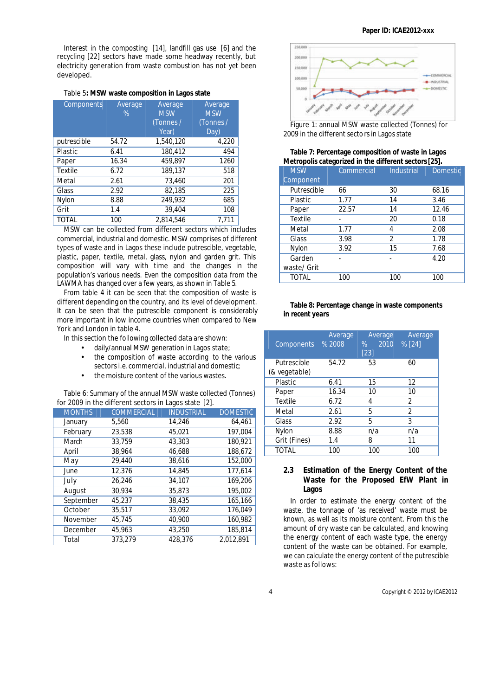Interest in the composting [14], landfill gas use [6] and the recycling [22] sectors have made some headway recently, but electricity generation from waste combustion has not yet been developed.

#### Table 5**: MSW waste composition in Lagos state**

| Components   | Average<br>$\%$ | Average<br><b>MSW</b><br>(Tonnes /<br>Year) | Average<br><b>MSW</b><br>(Tonnes /<br>Day) |
|--------------|-----------------|---------------------------------------------|--------------------------------------------|
| putrescible  | 54.72           | 1,540,120                                   | 4,220                                      |
| Plastic      | 6.41            | 180,412                                     | 494                                        |
| Paper        | 16.34           | 459,897                                     | 1260                                       |
| Textile      | 6.72            | 189,137                                     | 518                                        |
| Metal        | 2.61            | 73,460                                      | 201                                        |
| Glass        | 2.92            | 82,185                                      | 225                                        |
| Nylon        | 8.88            | 249,932                                     | 685                                        |
| Grit         | 1.4             | 39,404                                      | 108                                        |
| <b>TOTAL</b> | 100             | 2.814.546                                   | 7.711                                      |

MSW can be collected from different sectors which includes commercial, industrial and domestic. MSW comprises of different types of waste and in Lagos these include putrescible, vegetable, plastic, paper, textile, metal, glass, nylon and garden grit. This composition will vary with time and the changes in the population's various needs. Even the composition data from the LAWMA has changed over a few years, as shown in Table 5.

From table 4 it can be seen that the composition of waste is different depending on the country, and its level of development. It can be seen that the putrescible component is considerably more important in low income countries when compared to New York and London in table 4.

In this section the following collected data are shown:

- daily/annual MSW generation in Lagos state;
- the composition of waste according to the various sectors i.e. commercial, industrial and domestic;
- the moisture content of the various wastes.

Table 6: Summary of the annual MSW waste collected (Tonnes) for 2009 in the different sectors in Lagos state [2].

|               | $\sim$ 2007 in the union ont bootons in Euges state $\lfloor 2 \rfloor$ . |                   |                 |
|---------------|---------------------------------------------------------------------------|-------------------|-----------------|
| <b>MONTHS</b> | <b>COMMERCIAL</b>                                                         | <b>INDUSTRIAL</b> | <b>DOMESTIC</b> |
| January       | 5,560                                                                     | 14.246            | 64,461          |
| February      | 23,538                                                                    | 45,021            | 197,004         |
| March         | 33.759                                                                    | 43,303            | 180,921         |
| April         | 38.964                                                                    | 46,688            | 188,672         |
| May           | 29,440                                                                    | 38,616            | 152,000         |
| June          | 12,376                                                                    | 14,845            | 177,614         |
| July          | 26,246                                                                    | 34,107            | 169,206         |
| August        | 30,934                                                                    | 35,873            | 195,002         |
| September     | 45.237                                                                    | 38,435            | 165,166         |
| October       | 35,517                                                                    | 33.092            | 176,049         |
| November      | 45.745                                                                    | 40.900            | 160,982         |
| December      | 45,963                                                                    | 43,250            | 185,814         |
| Total         | 373,279                                                                   | 428.376           | 2,012,891       |



Figure 1: annual MSW waste collected (Tonnes) for 2009 in the different sectors in Lagos state

| Table 7: Percentage composition of waste in Lagos     |
|-------------------------------------------------------|
| Metropolis categorized in the different sectors [25]. |

| <b>MSW</b>  | Commercial | <b>Industrial</b> | <b>Domestic</b> |
|-------------|------------|-------------------|-----------------|
| Component   |            |                   |                 |
| Putrescible | 66         | 30                | 68.16           |
| Plastic     | 1.77       | 14                | 3.46            |
| Paper       | 22.57      | 14                | 12.46           |
| Textile     |            | 20                | 0.18            |
| Metal       | 1.77       | 4                 | 2.08            |
| Glass       | 3.98       | 2                 | 1.78            |
| Nylon       | 3.92       | 15                | 7.68            |
| Garden      |            |                   | 4.20            |
| waste/ Grit |            |                   |                 |
| TOTAL       | 100        | 100               | 100             |

#### **Table 8: Percentage change in waste components in recent years**

| Components                   | Average<br>% 2008 | Average<br>2010<br>%<br>$[23]$ | Average<br>% [24] |
|------------------------------|-------------------|--------------------------------|-------------------|
| Putrescible<br>(& vegetable) | 54.72             | 53                             | 60                |
| Plastic                      | 6.41              | 15                             | 12                |
| Paper                        | 16.34             | 10                             | 10                |
| <b>Textile</b>               | 6.72              | 4                              | $\overline{2}$    |
| Metal                        | 2.61              | 5                              | 2                 |
| Glass                        | 2.92              | 5                              | 3                 |
| Nylon                        | 8.88              | n/a                            | n/a               |
| Grit (Fines)                 | 1.4               | 8                              | 11                |
| <b>TOTAL</b>                 | 100               | 100                            | 100               |

# **2.3 Estimation of the Energy Content of the Waste for the Proposed EfW Plant in Lagos**

In order to estimate the energy content of the waste, the tonnage of 'as received' waste must be known, as well as its moisture content. From this the amount of dry waste can be calculated, and knowing the energy content of each waste type, the energy content of the waste can be obtained. For example, we can calculate the energy content of the putrescible waste as follows: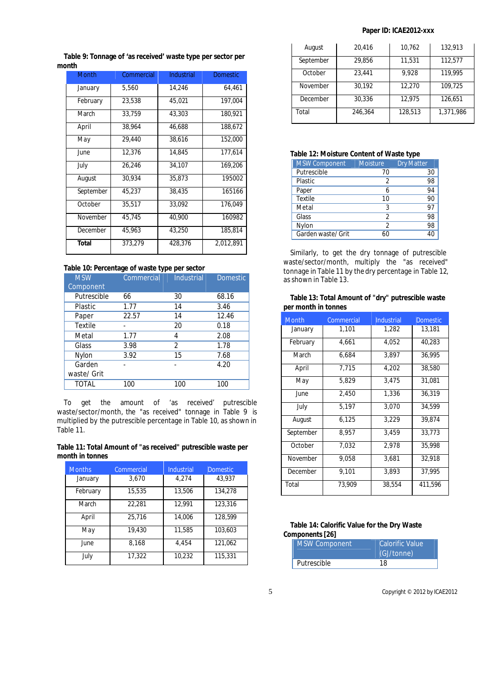# **Paper ID: ICAE2012-xxx**

**Table 9: Tonnage of 'as received' waste type per sector per month**

| <b>Month</b> | Commercial | <b>Industrial</b> | <b>Domestic</b> |
|--------------|------------|-------------------|-----------------|
| January      | 5,560      | 14,246            | 64,461          |
| February     | 23,538     | 45,021            | 197,004         |
| March        | 33,759     | 43,303            | 180,921         |
| April        | 38,964     | 46,688            | 188,672         |
| May          | 29,440     | 38,616            | 152,000         |
| June         | 12,376     | 14,845            | 177,614         |
| July         | 26,246     | 34,107            | 169,206         |
| August       | 30,934     | 35,873            | 195002          |
| September    | 45,237     | 38,435            | 165166          |
| October      | 35,517     | 33,092            | 176,049         |
| November     | 45,745     | 40,900            | 160982          |
| December     | 45,963     | 43,250            | 185,814         |
| <b>Total</b> | 373,279    | 428,376           | 2,012,891       |

## **Table 10: Percentage of waste type per sector**

| <b>MSW</b><br>Component | Commercial | <b>Industrial</b> | <b>Domestic</b> |
|-------------------------|------------|-------------------|-----------------|
| Putrescible             | 66         | 30                | 68.16           |
| Plastic                 | 1.77       | 14                | 3.46            |
| Paper                   | 22.57      | 14                | 12.46           |
| Textile                 |            | 20                | 0.18            |
| Metal                   | 1.77       | 4                 | 2.08            |
| Glass                   | 3.98       | 2                 | 1.78            |
| Nylon                   | 3.92       | 15                | 7.68            |
| Garden                  |            |                   | 4.20            |
| waste/ Grit             |            |                   |                 |
| <b>TOTAL</b>            | 100        | 100               | 100             |

To get the amount of 'as received' putrescible waste/sector/month, the "as received" tonnage in Table 9 is multiplied by the putrescible percentage in Table 10, as shown in Table 11.

**Table 11: Total Amount of "as received" putrescible waste per month in tonnes**

| <b>Months</b> | Commercial | <b>Industrial</b> | <b>Domestic</b> |
|---------------|------------|-------------------|-----------------|
| January       | 3.670      | 4.274             | 43.937          |
| February      | 15,535     | 13.506            | 134,278         |
| March         | 22,281     | 12.991            | 123,316         |
| April         | 25.716     | 14.006            | 128.599         |
| May           | 19.430     | 11.585            | 103.603         |
| June          | 8,168      | 4,454             | 121,062         |
| July          | 17,322     | 10,232            | 115,331         |

| August    | 20,416  | 10,762  | 132,913   |
|-----------|---------|---------|-----------|
| September | 29.856  | 11,531  | 112,577   |
| October   | 23.441  | 9.928   | 119.995   |
| November  | 30.192  | 12,270  | 109,725   |
| December  | 30.336  | 12.975  | 126,651   |
| Total     | 246.364 | 128,513 | 1.371.986 |

# **Table 12: Moisture Content of Waste type**

| <b>MSW Component</b> | <b>Moisture</b> | <b>Dry Matter</b> |
|----------------------|-----------------|-------------------|
| Putrescible          | 70              | 30                |
| <b>Plastic</b>       | 2               | 98                |
| Paper                | 6               | 94                |
| <b>Textile</b>       | 10              | 90                |
| Metal                | 3               | 97                |
| Glass                | <sup>2</sup>    | 98                |
| Nylon                | <sup>2</sup>    | 98                |
| Garden waste/ Grit   | 6በ              | 40                |

Similarly, to get the dry tonnage of putrescible waste/sector/month, multiply the "as received" tonnage in Table 11 by the dry percentage in Table 12, as shown in Table 13.

| Table 13: Total Amount of "dry" putrescible waste |  |  |
|---------------------------------------------------|--|--|
| per month in tonnes                               |  |  |

| <b>Month</b> | Commercial | <b>Industrial</b> | <b>Domestic</b> |
|--------------|------------|-------------------|-----------------|
| January      | 1,101      | 1,282             | 13,181          |
| February     | 4,661      | 4,052             | 40,283          |
| March        | 6,684      | 3,897             | 36,995          |
| April        | 7,715      | 4,202             | 38,580          |
| May          | 5,829      | 3,475             | 31,081          |
| June         | 2,450      | 1,336             | 36,319          |
| July         | 5,197      | 3,070             | 34.599          |
| August       | 6,125      | 3,229             | 39,874          |
| September    | 8,957      | 3,459             | 33,773          |
| October      | 7,032      | 2,978             | 35,998          |
| November     | 9,058      | 3,681             | 32,918          |
| December     | 9,101      | 3,893             | 37,995          |
| Total        | 73,909     | 38,554            | 411,596         |

# **Table 14: Calorific Value for the Dry Waste Components [26]**

| MSW Component | <b>Calorific Value</b><br>(GJ/tonne) |
|---------------|--------------------------------------|
| Putrescible   | 18                                   |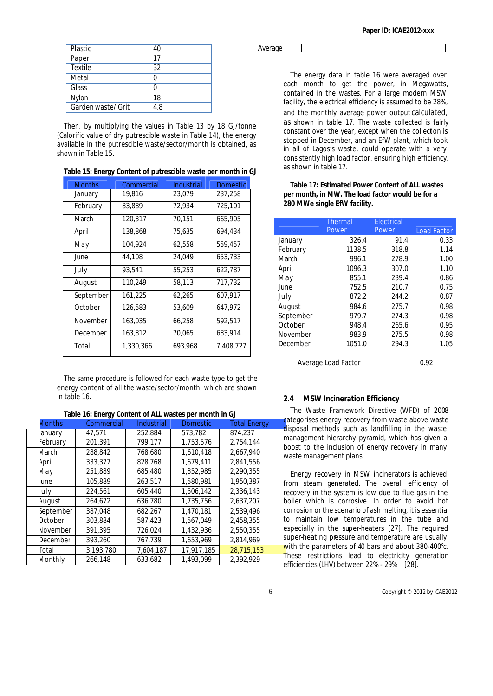|  | Paper ID: ICAE2012-XXX |  |  |  |
|--|------------------------|--|--|--|
|  |                        |  |  |  |

| Plastic            | 40  |
|--------------------|-----|
| Paper              | 17  |
| <b>Textile</b>     | 32  |
| Metal              | n   |
| Glass              |     |
| Nylon              | 18  |
| Garden waste/ Grit | 4.8 |

Then, by multiplying the values in Table 13 by 18 GJ/tonne (Calorific value of dry putrescible waste in Table 14), the energy available in the putrescible waste/sector/month is obtained, as shown in Table 15.

| Table 15: Energy Content of putrescible waste per month in GJ |  |  |  |
|---------------------------------------------------------------|--|--|--|
|---------------------------------------------------------------|--|--|--|

| <b>Months</b> | Commercial | Industrial | <b>Domestic</b> |
|---------------|------------|------------|-----------------|
| January       | 19,816     | 23,079     | 237,258         |
| February      | 83,889     | 72,934     | 725,101         |
| March         | 120,317    | 70.151     | 665,905         |
| April         | 138,868    | 75,635     | 694,434         |
| May           | 104,924    | 62,558     | 559,457         |
| June          | 44,108     | 24.049     | 653,733         |
| July          | 93.541     | 55,253     | 622,787         |
| August        | 110.249    | 58,113     | 717.732         |
| September     | 161,225    | 62,265     | 607,917         |
| October       | 126,583    | 53,609     | 647,972         |
| November      | 163,035    | 66,258     | 592,517         |
| December      | 163,812    | 70,065     | 683,914         |
| Total         | 1,330,366  | 693,968    | 7.408.727       |

The same procedure is followed for each waste type to get the energy content of all the waste/sector/month, which are shown in table 16.

| Table 16: Energy Content of ALL wastes per month in GJ |  |  |  |
|--------------------------------------------------------|--|--|--|
|--------------------------------------------------------|--|--|--|

| <b>Months</b>   | Commercial | <b>Industrial</b> | <b>Domestic</b> | <b>Total Energy</b> |
|-----------------|------------|-------------------|-----------------|---------------------|
| anuary          | 47,571     | 252,884           | 573,782         | 874.237             |
| February        | 201,391    | 799,177           | 1,753,576       | 2,754,144           |
| Vlarch          | 288,842    | 768,680           | 1.610.418       | 2,667,940           |
| <b>April</b>    | 333,377    | 828,768           | 1,679,411       | 2,841,556           |
| Vlay            | 251,889    | 685,480           | 1,352,985       | 2,290,355           |
| une             | 105,889    | 263,517           | 1,580,981       | 1,950,387           |
| luly            | 224,561    | 605,440           | 1,506,142       | 2,336,143           |
| <b>August</b>   | 264,672    | 636,780           | 1,735,756       | 2,637,207           |
| september       | 387.048    | 682.267           | 1,470,181       | 2,539,496           |
| <b>October</b>  | 303,884    | 587,423           | 1,567,049       | 2,458,355           |
| <b>November</b> | 391,395    | 726,024           | 1,432,936       | 2,550,355           |
| <b>December</b> | 393,260    | 767,739           | 1,653,969       | 2.814.969           |
| <b>Fotal</b>    | 3,193,780  | 7,604,187         | 17,917,185      | 28,715,153          |
| Monthly         | 266,148    | 633,682           | 1,493,099       | 2,392,929           |

The energy data in table 16 were averaged over each month to get the power, in Megawatts, contained in the wastes. For a large modern MSW facility, the electrical efficiency is assumed to be 28%, and the monthly average power output calculated, as shown in table 17. The waste collected is fairly constant over the year, except when the collection is stopped in December, and an EfW plant, which took in all of Lagos's waste, could operate with a very consistently high load factor, ensuring high efficiency, as shown in table 17.

# **Table 17: Estimated Power Content of ALL wastes per month, in MW. The load factor would be for a 280 MWe single EfW facility.**

|           | <b>Thermal</b><br>Power | Electrical<br>Power | <b>Load Factor</b> |
|-----------|-------------------------|---------------------|--------------------|
| January   | 326.4                   | 91.4                | 0.33               |
| February  | 1138.5                  | 318.8               | 1.14               |
|           |                         |                     |                    |
| March     | 996.1                   | 278.9               | 1.00               |
| April     | 1096.3                  | 307.0               | 1.10               |
| May       | 855.1                   | 239.4               | 0.86               |
| June.     | 752.5                   | 210.7               | 0.75               |
| July      | 872.2                   | 244.2               | 0.87               |
| August    | 984.6                   | 275.7               | 0.98               |
| September | 979.7                   | 274.3               | 0.98               |
| October   | 948.4                   | 265.6               | 0.95               |
| November  | 983.9                   | 275.5               | 0.98               |
| December  | 1051.0                  | 294.3               | 1.05               |
|           |                         |                     |                    |

Average Load Factor 0.92

## **2.4 MSW Incineration Efficiency**

The Waste Framework Directive (WFD) of 2008 categorises energy recovery from waste above waste disposal methods such as landfilling in the waste management hierarchy pyramid, which has given a boost to the inclusion of energy recovery in many waste management plans.

Energy recovery in MSW incinerators is achieved from steam generated. The overall efficiency of recovery in the system is low due to flue gas in the boiler which is corrosive. In order to avoid hot corrosion or the scenario of ash melting, it is essential to maintain low temperatures in the tube and especially in the super-heaters [27]. The required super-heating pressure and temperature are usually with the parameters of 40 bars and about 380-400°c. These restrictions lead to electricity generation efficiencies (LHV) between 22% - 29% [28].

Average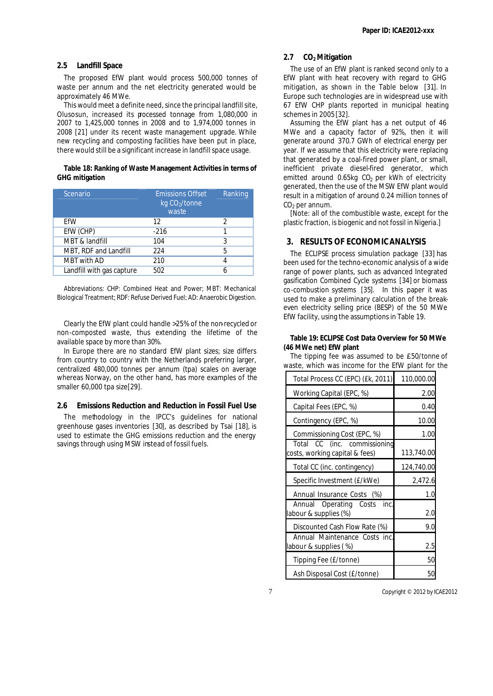#### **2.5 Landfill Space**

The proposed EfW plant would process 500,000 tonnes of waste per annum and the net electricity generated would be approximately 46 MWe.

This would meet a definite need, since the principal landfill site, Olusosun, increased its processed tonnage from 1,080,000 in 2007 to 1,425,000 tonnes in 2008 and to 1,974,000 tonnes in 2008 [21] under its recent waste management upgrade. While new recycling and composting facilities have been put in place, there would still be a significant increase in landfill space usage.

#### **Table 18: Ranking of Waste Management Activities in terms of GHG mitigation**

| Scenario                  | <b>Emissions Offset</b><br>$kq$ CO <sub>2</sub> /tonne<br>waste | Ranking |
|---------------------------|-----------------------------------------------------------------|---------|
| EfW                       | 12                                                              | 2       |
| EfW (CHP)                 | $-216$                                                          |         |
| MBT & landfill            | 104                                                             | 3       |
| MBT, RDF and Landfill     | 224                                                             | 5       |
| <b>MBT</b> with AD        | 210                                                             | 4       |
| Landfill with gas capture | 502                                                             |         |

Abbreviations: CHP: Combined Heat and Power; MBT: Mechanical Biological Treatment; RDF: Refuse Derived Fuel; AD: Anaerobic Digestion.

Clearly the EfW plant could handle >25% of the non-recycled or non-composted waste, thus extending the lifetime of the available space by more than 30%.

In Europe there are no standard EfW plant sizes; size differs from country to country with the Netherlands preferring larger, centralized 480,000 tonnes per annum (tpa) scales on average whereas Norway, on the other hand, has more examples of the smaller 60,000 tpa size[29].

#### **2.6 Emissions Reduction and Reduction in Fossil Fuel Use**

The methodology in the IPCC's guidelines for national greenhouse gases inventories [30], as described by Tsai [18], is used to estimate the GHG emissions reduction and the energy savings through using MSW instead of fossil fuels.

#### **2.7 CO2 Mitigation**

The use of an EfW plant is ranked second only to a EfW plant with heat recovery with regard to GHG mitigation, as shown in the Table below [31]. In Europe such technologies are in widespread use with 67 EfW CHP plants reported in municipal heating schemes in 2005 [32].

Assuming the EfW plant has a net output of 46 MWe and a capacity factor of 92%, then it will generate around 370.7 GWh of electrical energy per year. If we assume that this electricity were replacing that generated by a coal-fired power plant, or small, inefficient private diesel-fired generator, which emitted around  $0.65kg$  CO<sub>2</sub> per kWh of electricity generated, then the use of the MSW EfW plant would result in a mitigation of around 0.24 million tonnes of  $CO<sub>2</sub>$  per annum.

[Note: all of the combustible waste, except for the plastic fraction, is biogenic and not fossil in Nigeria.]

#### **3. RESULTS OF ECONOMIC ANALYSIS**

The ECLIPSE process simulation package [33] has been used for the techno-economic analysis of a wide range of power plants, such as advanced Integrated gasification Combined Cycle systems [34] or biomass co-combustion systems [35]. In this paper it was used to make a preliminary calculation of the breakeven electricity selling price (BESP) of the 50 MWe EfW facility, using the assumptions in Table 19.

#### **Table 19: ECLIPSE Cost Data Overview for 50 MWe (46 MWe net) EfW plant**

The tipping fee was assumed to be £50/tonne of waste, which was income for the EfW plant for the

| Total Process CC (EPC) (£k, 2011)                              | 110,000.00 |
|----------------------------------------------------------------|------------|
| Working Capital (EPC, %)                                       | 2.00       |
| Capital Fees (EPC, %)                                          | 0.40       |
| Contingency (EPC, %)                                           | 10.00      |
| Commissioning Cost (EPC, %)                                    | 1.00       |
| Total CC (inc. commissioning<br>costs, working capital & fees) | 113,740.00 |
| Total CC (inc. contingency)                                    | 124,740.00 |
| Specific Investment (£/kWe)                                    | 2,472.6    |
| Annual Insurance Costs (%)                                     | 1.0        |
| Annual Operating Costs<br>inc.<br>labour & supplies (%)        | 2.0        |
| Discounted Cash Flow Rate (%)                                  | 9.0        |
| Annual Maintenance Costs inc.<br>labour & supplies (%)         | 2.5        |
| Tipping Fee (£/tonne)                                          | 50         |
| Ash Disposal Cost (£/tonne)                                    | 50         |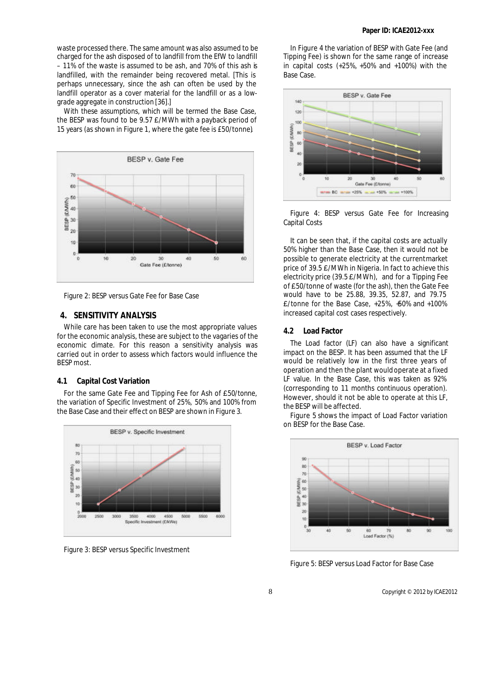waste processed there. The same amount was also assumed to be charged for the ash disposed of to landfill from the EfW to landfill – 11% of the waste is assumed to be ash, and 70% of this ash is landfilled, with the remainder being recovered metal. [This is perhaps unnecessary, since the ash can often be used by the landfill operator as a cover material for the landfill or as a lowgrade aggregate in construction [36].]

With these assumptions, which will be termed the Base Case, the BESP was found to be 9.57  $E/MWh$  with a payback period of 15 years (as shown in Figure 1, where the gate fee is £50/tonne).



Figure 2: BESP versus Gate Fee for Base Case

## **4. SENSITIVITY ANALYSIS**

While care has been taken to use the most appropriate values for the economic analysis, these are subject to the vagaries of the economic dimate. For this reason a sensitivity analysis was carried out in order to assess which factors would influence the BESP most.

#### **4.1 Capital Cost Variation**

For the same Gate Fee and Tipping Fee for Ash of £50/tonne, the variation of Specific Investment of 25%, 50% and 100% from the Base Case and their effect on BESP are shown in Figure 3.



Figure 3: BESP versus Specific Investment

In Figure 4 the variation of BESP with Gate Fee (and Tipping Fee) is shown for the same range of increase in capital costs (+25%, +50% and +100%) with the Base Case.



Figure 4: BESP versus Gate Fee for Increasing Capital Costs

It can be seen that, if the capital costs are actually 50% higher than the Base Case, then it would not be possible to generate electricity at the current market price of 39.5 £/MWh in Nigeria. In fact to achieve this electricity price (39.5  $\text{\pounds}/\text{\textsf{MWh}}$ ), and for a Tipping Fee of £50/tonne of waste (for the ash), then the Gate Fee would have to be 25.88, 39.35, 52.87, and 79.75 £/tonne for the Base Case, +25%, +50% and +100% increased capital cost cases respectively.

# **4.2 Load Factor**

The Load factor (LF) can also have a significant impact on the BESP. It has been assumed that the LF would be relatively low in the first three years of operation and then the plant would operate at a fixed LF value. In the Base Case, this was taken as 92% (corresponding to 11 months continuous operation). However, should it not be able to operate at this LF, the BESP will be affected.

Figure 5 shows the impact of Load Factor variation on BESP for the Base Case.



Figure 5: BESP versus Load Factor for Base Case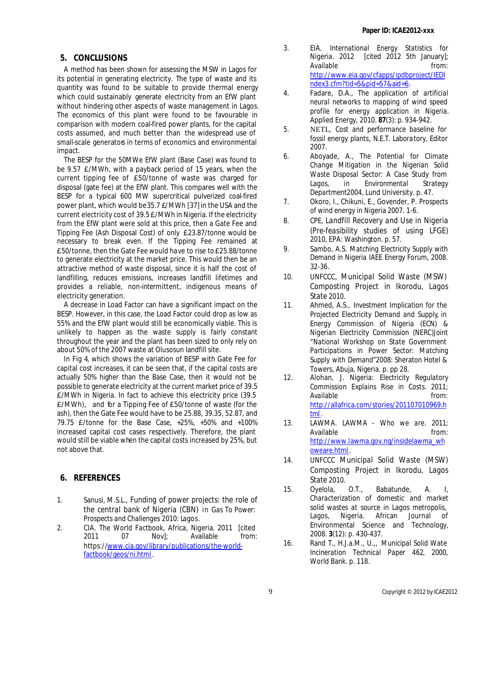# **Paper ID: ICAE2012-xxx**

# **5. CONCLUSIONS**

A method has been shown for assessing the MSW in Lagos for its potential in generating electricity. The type of waste and its quantity was found to be suitable to provide thermal energy which could sustainably generate electricity from an EfW plant without hindering other aspects of waste management in Lagos. The economics of this plant were found to be favourable in comparison with modern coal-fired power plants, for the capital costs assumed, and much better than the widespread use of small-scale generators in terms of economics and environmental impact.

The BESP for the 50MWe EfW plant (Base Case) was found to be 9.57 £/MWh, with a payback period of 15 years, when the current tipping fee of £50/tonne of waste was charged for disposal (gate fee) at the EfW plant. This compares well with the BESP for a typical 600 MW supercritical pulverized coal-fired power plant, which would be 35.7 £/MWh [37] in the USA and the current electricity cost of 39.5 £/MWh in Nigeria. If the electricity from the EfW plant were sold at this price, then a Gate Fee and Tipping Fee (Ash Disposal Cost) of only £23.87/tonne would be necessary to break even. If the Tipping Fee remained at £50/tonne, then the Gate Fee would have to rise to £25.88/tonne to generate electricity at the market price. This would then be an attractive method of waste disposal, since it is half the cost of landfilling, reduces emissions, increases landfill lifetimes and provides a reliable, non-intermittent, indigenous means of electricity generation.

A decrease in Load Factor can have a significant impact on the BESP. However, in this case, the Load Factor could drop as low as 55% and the EfW plant would still be economically viable. This is unlikely to happen as the waste supply is fairly constant throughout the year and the plant has been sized to only rely on about 50% of the 2007 waste at Olusosun landfill site.

In Fig 4, which shows the variation of BESP with Gate Fee for capital cost increases, it can be seen that, if the capital costs are actually 50% higher than the Base Case, then it would not be possible to generate electricity at the current market price of 39.5 £/MWh in Nigeria. In fact to achieve this electricity price (39.5 £/MWh), and for a Tipping Fee of £50/tonne of waste (for the ash), then the Gate Fee would have to be 25.88, 39.35, 52.87, and 79.75 £/tonne for the Base Case, +25%, +50% and +100% increased capital cost cases respectively. Therefore, the plant would still be viable when the capital costs increased by 25%, but not above that.

# **6. REFERENCES**

- 1. Sanusi, M.S.L., *Funding of power projects: the role of the central bank of Nigeria (CBN)* in *Gas To Power: Prospects and Challenges* 2010: Lagos.
- 2. CIA. *The World Factbook, Africa, Nigeria*. 2011 [cited 2011 07 Nov1: Available from: https://www.cia.gov/library/publications/the-worldfactbook/geos/ni.html.
- 3. EIA. *International Energy Statistics for Nigeria*. 2012 [cited 2012 5th January]; Available **from:** http://www.eia.gov/cfapps/ipdbproject/IEDI ndex3.cfm?tid=5&pid=57&aid=6.
- 4. Fadare, D.A., *The application of artificial neural networks to mapping of wind speed profile for energy application in Nigeria.* Applied Energy, 2010. **87**(3): p. 934-942.
- 5. NETL, *Cost and performance baseline for fossil energy plants*, N.E.T. Labora tory, Editor 2007.
- 6. Aboyade, A., *The Potential for Climate Change Mitigation in the Nigerian Solid Waste Disposal Sector: A Case Study from Lagos*, in *Environmental Strategy Department*2004, Lund University. p. 47.
- 7. Okoro, I., Chikuni, E., Govender, P. *Prospects of wind energy in Nigeria* 2007. 1-6.
- 8. CPE, *Landfill Recovery and Use in Nigeria (Pre-feasibility studies of using LFGE)* 2010, EPA: Washington. p. 57.
- 9. Sambo, A.S. *Matching Electricity Supply with Demand in Nigeria* IAEE Energy Forum, 2008. 32-36.
- 10. UNFCCC, *Municipal Solid Waste (MSW) Composting Project in Ikorodu, Lagos State* 2010.
- 11. Ahmed, A.S., *Investment Implication for the Projected Electricity Demand and Supply*, in *Energy Commission of Nigeria (ECN) & Nigerian Electricity Commission (NERC)Joint "National Workshop on State Government Participations in Power Sector: Matching Supply with Demand"*2008: Sheraton Hotel & Towers, Abuja, Nigeria. p. pp 28.
- 12. Alohan, J. *Nigeria: Electricity Regulatory Commission Explains Rise in Costs.* 2011; Available from: http://allafrica.com/stories/201107010969.h tml.
- 13. LAWMA. *LAWMA Who we are*. 2011; Available **from:** http://www.lawma.gov.ng/insidelawma\_wh oweare.html .
- 14. UNFCCC *Municipal Solid Waste (MSW) Composting Project in Ikorodu, Lagos State* 2010.
- 15. Oyelola, O.T., Babatunde, A. I, *Characterization of domestic and market solid wastes at source in Lagos metropolis, Lagos, Nigeria.* African Journal of Environmental Science and Technology, 2008. **3**(12): p. 430-437.
- 16. Rand T., H.J.a.M., U.,, *Municipal Solid Wate Incineration Technical Paper 462*, 2000, World Bank. p. 118.